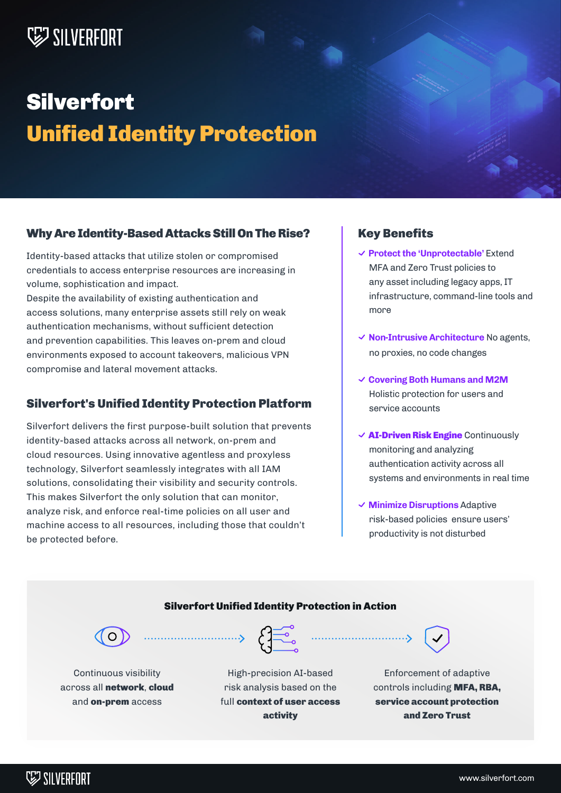# **WESTLIVERFORT**

# **Silverfort** Unified Identity Protection

#### Why Are Identity-Based Attacks Still On The Rise?

Identity-based attacks that utilize stolen or compromised credentials to access enterprise resources are increasing in volume, sophistication and impact.

Despite the availability of existing authentication and access solutions, many enterprise assets still rely on weak authentication mechanisms, without sufficient detection and prevention capabilities. This leaves on-prem and cloud environments exposed to account takeovers, malicious VPN compromise and lateral movement attacks.

### Silverfort's Unified Identity Protection Platform

Silverfort delivers the first purpose-built solution that prevents identity-based attacks across all network, on-prem and cloud resources. Using innovative agentless and proxyless technology, Silverfort seamlessly integrates with all IAM solutions, consolidating their visibility and security controls. This makes Silverfort the only solution that can monitor, analyze risk, and enforce real-time policies on all user and machine access to all resources, including those that couldn't be protected before.

#### Key Benefits

- **Protect the 'Unprotectable'** Extend MFA and Zero Trust policies to any asset including legacy apps, IT infrastructure, command-line tools and more
- **Non-Intrusive Architecture** No agents, no proxies, no code changes
- **Covering Both Humans and M2M** Holistic protection for users and service accounts
- $\checkmark$  AI-Driven Risk Engine Continuously monitoring and analyzing authentication activity across all systems and environments in real time
- **Minimize Disruptions** Adaptive risk-based policies ensure users' productivity is not disturbed

#### Silverfort Unified Identity Protection in Action



Continuous visibility across all network, cloud and **on-prem** access



High-precision AI-based risk analysis based on the full context of user access activity



Enforcement of adaptive controls including MFA, RBA, service account protection and Zero Trust